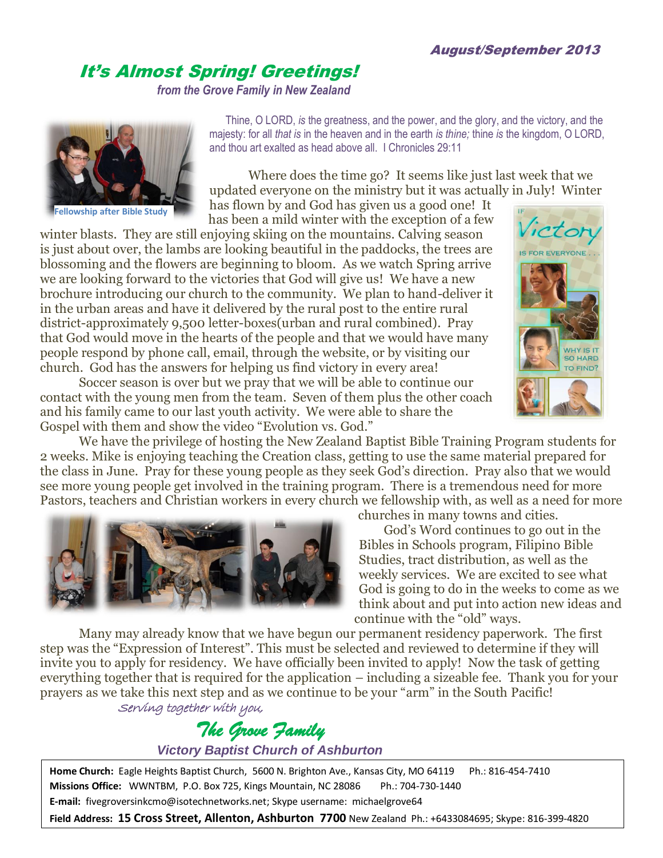## It's Almost Spring! Greetings!

*from the Grove Family in New Zealand*



 Thine, O LORD, *is* the greatness, and the power, and the glory, and the victory, and the majesty: for all *that is* in the heaven and in the earth *is thine;* thine *is* the kingdom, O LORD, and thou art exalted as head above all. I Chronicles 29:11

Where does the time go? It seems like just last week that we updated everyone on the ministry but it was actually in July! Winter

has flown by and God has given us a good one! It has been a mild winter with the exception of a few

winter blasts. They are still enjoying skiing on the mountains. Calving season is just about over, the lambs are looking beautiful in the paddocks, the trees are blossoming and the flowers are beginning to bloom. As we watch Spring arrive we are looking forward to the victories that God will give us! We have a new brochure introducing our church to the community. We plan to hand-deliver it in the urban areas and have it delivered by the rural post to the entire rural district-approximately 9,500 letter-boxes(urban and rural combined). Pray that God would move in the hearts of the people and that we would have many people respond by phone call, email, through the website, or by visiting our church. God has the answers for helping us find victory in every area!

Soccer season is over but we pray that we will be able to continue our contact with the young men from the team. Seven of them plus the other coach and his family came to our last youth activity. We were able to share the Gospel with them and show the video "Evolution vs. God."

ictor S FOR EVERYONE. WHY IS IT **SO HARD** TO FIND?

We have the privilege of hosting the New Zealand Baptist Bible Training Program students for 2 weeks. Mike is enjoying teaching the Creation class, getting to use the same material prepared for the class in June. Pray for these young people as they seek God's direction. Pray also that we would see more young people get involved in the training program. There is a tremendous need for more Pastors, teachers and Christian workers in every church we fellowship with, as well as a need for more



churches in many towns and cities. God's Word continues to go out in the Bibles in Schools program, Filipino Bible Studies, tract distribution, as well as the weekly services. We are excited to see what God is going to do in the weeks to come as we think about and put into action new ideas and continue with the "old" ways.

Many may already know that we have begun our permanent residency paperwork. The first step was the "Expression of Interest". This must be selected and reviewed to determine if they will invite you to apply for residency. We have officially been invited to apply! Now the task of getting everything together that is required for the application – including a sizeable fee. Thank you for your prayers as we take this next step and as we continue to be your "arm" in the South Pacific! Serving together with you,

## *The Grove Family*

*Victory Baptist Church of Ashburton*

**Home Church:** Eagle Heights Baptist Church, 5600 N. Brighton Ave., Kansas City, MO 64119 Ph.: 816-454-7410 **Missions Office:** WWNTBM, P.O. Box 725, Kings Mountain, NC 28086 Ph.: 704-730-1440 **E-mail:** fivegroversinkcmo@isotechnetworks.net; Skype username: michaelgrove64

**Field Address: 15 Cross Street, Allenton, Ashburton 7700** New Zealand Ph.: +6433084695; Skype: 816-399-4820